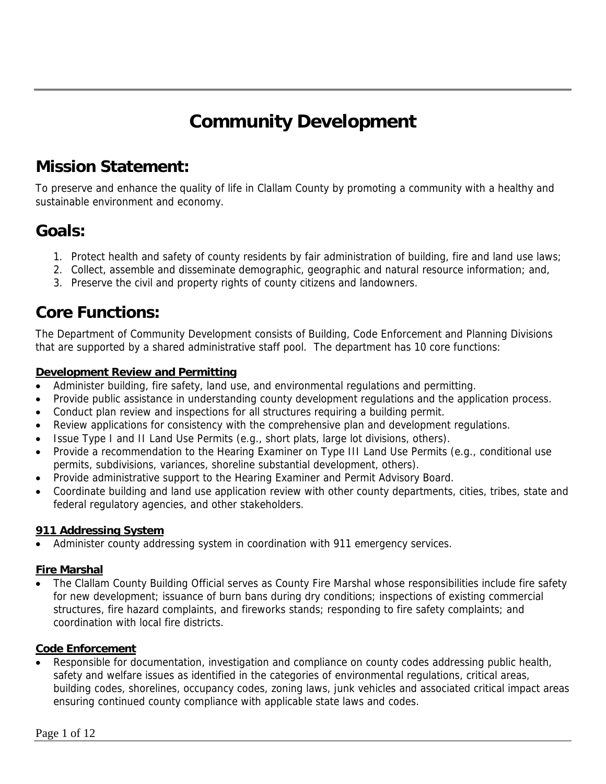# **Community Development**

# **Mission Statement:**

To preserve and enhance the quality of life in Clallam County by promoting a community with a healthy and sustainable environment and economy.

## **Goals:**

- 1. Protect health and safety of county residents by fair administration of building, fire and land use laws;
- 2. Collect, assemble and disseminate demographic, geographic and natural resource information; and,
- 3. Preserve the civil and property rights of county citizens and landowners.

## **Core Functions:**

The Department of Community Development consists of Building, Code Enforcement and Planning Divisions that are supported by a shared administrative staff pool. The department has 10 core functions:

## **Development Review and Permitting**

- Administer building, fire safety, land use, and environmental regulations and permitting.
- Provide public assistance in understanding county development regulations and the application process.
- Conduct plan review and inspections for all structures requiring a building permit.
- Review applications for consistency with the comprehensive plan and development regulations.
- Issue Type I and II Land Use Permits (e.g., short plats, large lot divisions, others).
- Provide a recommendation to the Hearing Examiner on Type III Land Use Permits (e.g., conditional use permits, subdivisions, variances, shoreline substantial development, others).
- Provide administrative support to the Hearing Examiner and Permit Advisory Board.
- Coordinate building and land use application review with other county departments, cities, tribes, state and federal regulatory agencies, and other stakeholders.

## **911 Addressing System**

Administer county addressing system in coordination with 911 emergency services.

## **Fire Marshal**

• The Clallam County Building Official serves as County Fire Marshal whose responsibilities include fire safety for new development; issuance of burn bans during dry conditions; inspections of existing commercial structures, fire hazard complaints, and fireworks stands; responding to fire safety complaints; and coordination with local fire districts.

## **Code Enforcement**

• Responsible for documentation, investigation and compliance on county codes addressing public health, safety and welfare issues as identified in the categories of environmental regulations, critical areas, building codes, shorelines, occupancy codes, zoning laws, junk vehicles and associated critical impact areas ensuring continued county compliance with applicable state laws and codes.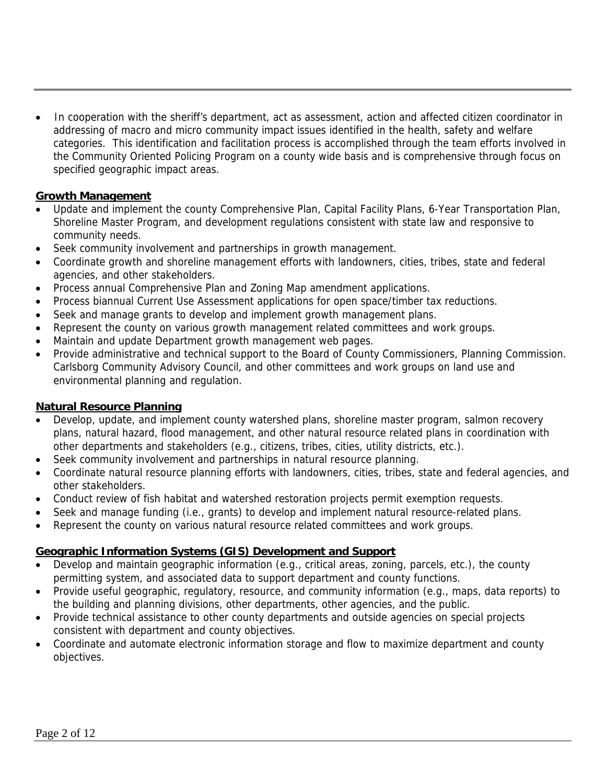• In cooperation with the sheriff's department, act as assessment, action and affected citizen coordinator in addressing of macro and micro community impact issues identified in the health, safety and welfare categories. This identification and facilitation process is accomplished through the team efforts involved in the Community Oriented Policing Program on a county wide basis and is comprehensive through focus on specified geographic impact areas.

## **Growth Management**

- Update and implement the county Comprehensive Plan, Capital Facility Plans, 6-Year Transportation Plan, Shoreline Master Program, and development regulations consistent with state law and responsive to community needs.
- Seek community involvement and partnerships in growth management.
- Coordinate growth and shoreline management efforts with landowners, cities, tribes, state and federal agencies, and other stakeholders.
- Process annual Comprehensive Plan and Zoning Map amendment applications.
- Process biannual Current Use Assessment applications for open space/timber tax reductions.
- Seek and manage grants to develop and implement growth management plans.
- Represent the county on various growth management related committees and work groups.
- Maintain and update Department growth management web pages.
- Provide administrative and technical support to the Board of County Commissioners, Planning Commission. Carlsborg Community Advisory Council, and other committees and work groups on land use and environmental planning and regulation.

#### **Natural Resource Planning**

- Develop, update, and implement county watershed plans, shoreline master program, salmon recovery plans, natural hazard, flood management, and other natural resource related plans in coordination with other departments and stakeholders (e.g., citizens, tribes, cities, utility districts, etc.).
- Seek community involvement and partnerships in natural resource planning.
- Coordinate natural resource planning efforts with landowners, cities, tribes, state and federal agencies, and other stakeholders.
- Conduct review of fish habitat and watershed restoration projects permit exemption requests.
- Seek and manage funding (i.e., grants) to develop and implement natural resource-related plans.
- Represent the county on various natural resource related committees and work groups.

## **Geographic Information Systems (GIS) Development and Support**

- Develop and maintain geographic information (e.g., critical areas, zoning, parcels, etc.), the county permitting system, and associated data to support department and county functions.
- Provide useful geographic, regulatory, resource, and community information (e.g., maps, data reports) to the building and planning divisions, other departments, other agencies, and the public.
- Provide technical assistance to other county departments and outside agencies on special projects consistent with department and county objectives.
- Coordinate and automate electronic information storage and flow to maximize department and county objectives.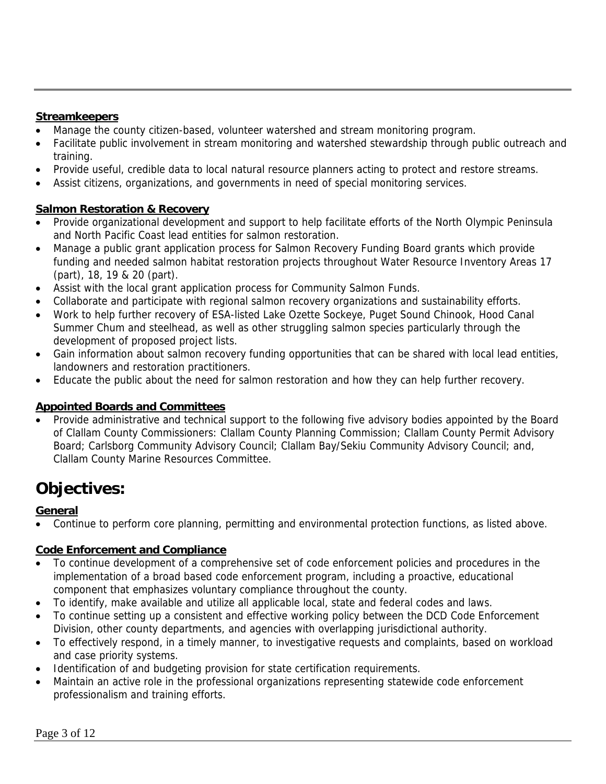## **Streamkeepers**

- Manage the county citizen-based, volunteer watershed and stream monitoring program.
- Facilitate public involvement in stream monitoring and watershed stewardship through public outreach and training.
- Provide useful, credible data to local natural resource planners acting to protect and restore streams.
- Assist citizens, organizations, and governments in need of special monitoring services.

## **Salmon Restoration & Recovery**

- Provide organizational development and support to help facilitate efforts of the North Olympic Peninsula and North Pacific Coast lead entities for salmon restoration.
- Manage a public grant application process for Salmon Recovery Funding Board grants which provide funding and needed salmon habitat restoration projects throughout Water Resource Inventory Areas 17 (part), 18, 19 & 20 (part).
- Assist with the local grant application process for Community Salmon Funds.
- Collaborate and participate with regional salmon recovery organizations and sustainability efforts.
- Work to help further recovery of ESA-listed Lake Ozette Sockeye, Puget Sound Chinook, Hood Canal Summer Chum and steelhead, as well as other struggling salmon species particularly through the development of proposed project lists.
- Gain information about salmon recovery funding opportunities that can be shared with local lead entities, landowners and restoration practitioners.
- Educate the public about the need for salmon restoration and how they can help further recovery.

## **Appointed Boards and Committees**

• Provide administrative and technical support to the following five advisory bodies appointed by the Board of Clallam County Commissioners: Clallam County Planning Commission; Clallam County Permit Advisory Board; Carlsborg Community Advisory Council; Clallam Bay/Sekiu Community Advisory Council; and, Clallam County Marine Resources Committee.

# **Objectives:**

## **General**

• Continue to perform core planning, permitting and environmental protection functions, as listed above.

## **Code Enforcement and Compliance**

- To continue development of a comprehensive set of code enforcement policies and procedures in the implementation of a broad based code enforcement program, including a proactive, educational component that emphasizes voluntary compliance throughout the county.
- To identify, make available and utilize all applicable local, state and federal codes and laws.
- To continue setting up a consistent and effective working policy between the DCD Code Enforcement Division, other county departments, and agencies with overlapping jurisdictional authority.
- To effectively respond, in a timely manner, to investigative requests and complaints, based on workload and case priority systems.
- Identification of and budgeting provision for state certification requirements.
- Maintain an active role in the professional organizations representing statewide code enforcement professionalism and training efforts.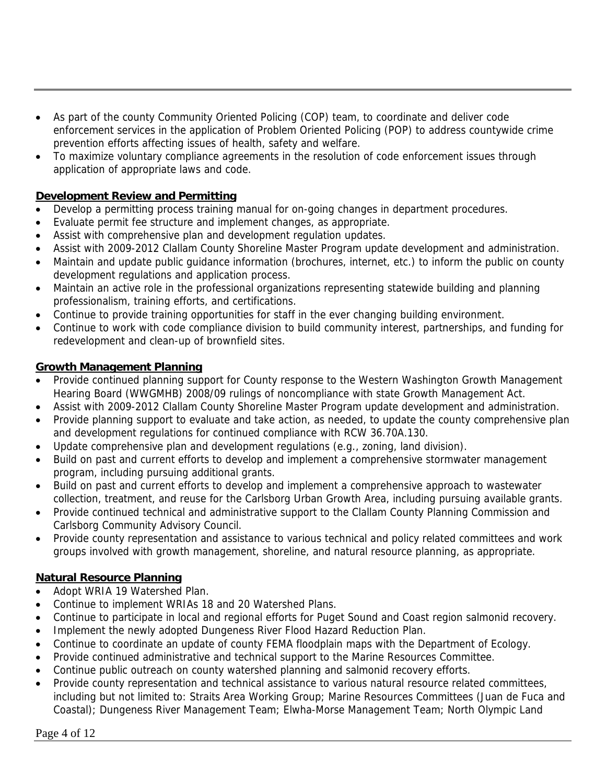- As part of the county Community Oriented Policing (COP) team, to coordinate and deliver code enforcement services in the application of Problem Oriented Policing (POP) to address countywide crime prevention efforts affecting issues of health, safety and welfare.
- To maximize voluntary compliance agreements in the resolution of code enforcement issues through application of appropriate laws and code.

## **Development Review and Permitting**

- Develop a permitting process training manual for on-going changes in department procedures.
- Evaluate permit fee structure and implement changes, as appropriate.
- Assist with comprehensive plan and development regulation updates.
- Assist with 2009-2012 Clallam County Shoreline Master Program update development and administration.
- Maintain and update public guidance information (brochures, internet, etc.) to inform the public on county development regulations and application process.
- Maintain an active role in the professional organizations representing statewide building and planning professionalism, training efforts, and certifications.
- Continue to provide training opportunities for staff in the ever changing building environment.
- Continue to work with code compliance division to build community interest, partnerships, and funding for redevelopment and clean-up of brownfield sites.

## **Growth Management Planning**

- Provide continued planning support for County response to the Western Washington Growth Management Hearing Board (WWGMHB) 2008/09 rulings of noncompliance with state Growth Management Act.
- Assist with 2009-2012 Clallam County Shoreline Master Program update development and administration.
- Provide planning support to evaluate and take action, as needed, to update the county comprehensive plan and development regulations for continued compliance with RCW 36.70A.130.
- Update comprehensive plan and development regulations (e.g., zoning, land division).
- Build on past and current efforts to develop and implement a comprehensive stormwater management program, including pursuing additional grants.
- Build on past and current efforts to develop and implement a comprehensive approach to wastewater collection, treatment, and reuse for the Carlsborg Urban Growth Area, including pursuing available grants.
- Provide continued technical and administrative support to the Clallam County Planning Commission and Carlsborg Community Advisory Council.
- Provide county representation and assistance to various technical and policy related committees and work groups involved with growth management, shoreline, and natural resource planning, as appropriate.

## **Natural Resource Planning**

- Adopt WRIA 19 Watershed Plan.
- Continue to implement WRIAs 18 and 20 Watershed Plans.
- Continue to participate in local and regional efforts for Puget Sound and Coast region salmonid recovery.
- Implement the newly adopted Dungeness River Flood Hazard Reduction Plan.
- Continue to coordinate an update of county FEMA floodplain maps with the Department of Ecology.
- Provide continued administrative and technical support to the Marine Resources Committee.
- Continue public outreach on county watershed planning and salmonid recovery efforts.
- Provide county representation and technical assistance to various natural resource related committees, including but not limited to: Straits Area Working Group; Marine Resources Committees (Juan de Fuca and Coastal); Dungeness River Management Team; Elwha-Morse Management Team; North Olympic Land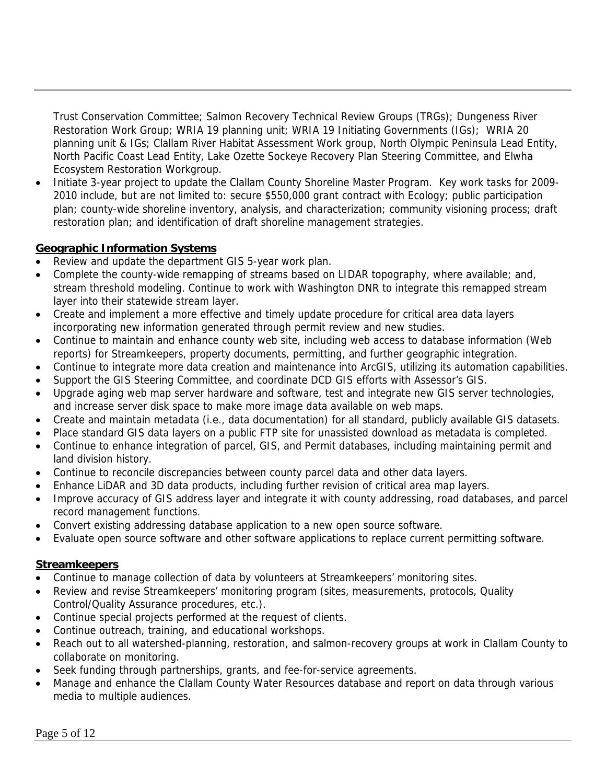Trust Conservation Committee; Salmon Recovery Technical Review Groups (TRGs); Dungeness River Restoration Work Group; WRIA 19 planning unit; WRIA 19 Initiating Governments (IGs); WRIA 20 planning unit & IGs; Clallam River Habitat Assessment Work group, North Olympic Peninsula Lead Entity, North Pacific Coast Lead Entity, Lake Ozette Sockeye Recovery Plan Steering Committee, and Elwha Ecosystem Restoration Workgroup.

• Initiate 3-year project to update the Clallam County Shoreline Master Program. Key work tasks for 2009- 2010 include, but are not limited to: secure \$550,000 grant contract with Ecology; public participation plan; county-wide shoreline inventory, analysis, and characterization; community visioning process; draft restoration plan; and identification of draft shoreline management strategies.

## **Geographic Information Systems**

- Review and update the department GIS 5-year work plan.
- Complete the county-wide remapping of streams based on LIDAR topography, where available; and, stream threshold modeling. Continue to work with Washington DNR to integrate this remapped stream layer into their statewide stream layer.
- Create and implement a more effective and timely update procedure for critical area data layers incorporating new information generated through permit review and new studies.
- Continue to maintain and enhance county web site, including web access to database information (Web reports) for Streamkeepers, property documents, permitting, and further geographic integration.
- Continue to integrate more data creation and maintenance into ArcGIS, utilizing its automation capabilities.
- Support the GIS Steering Committee, and coordinate DCD GIS efforts with Assessor's GIS.
- Upgrade aging web map server hardware and software, test and integrate new GIS server technologies, and increase server disk space to make more image data available on web maps.
- Create and maintain metadata (i.e., data documentation) for all standard, publicly available GIS datasets.
- Place standard GIS data layers on a public FTP site for unassisted download as metadata is completed.
- Continue to enhance integration of parcel, GIS, and Permit databases, including maintaining permit and land division history.
- Continue to reconcile discrepancies between county parcel data and other data layers.
- Enhance LiDAR and 3D data products, including further revision of critical area map layers.
- Improve accuracy of GIS address layer and integrate it with county addressing, road databases, and parcel record management functions.
- Convert existing addressing database application to a new open source software.
- Evaluate open source software and other software applications to replace current permitting software.

## **Streamkeepers**

- Continue to manage collection of data by volunteers at Streamkeepers' monitoring sites.
- Review and revise Streamkeepers' monitoring program (sites, measurements, protocols, Quality Control/Quality Assurance procedures, etc.).
- Continue special projects performed at the request of clients.
- Continue outreach, training, and educational workshops.
- Reach out to all watershed-planning, restoration, and salmon-recovery groups at work in Clallam County to collaborate on monitoring.
- Seek funding through partnerships, grants, and fee-for-service agreements.
- Manage and enhance the Clallam County Water Resources database and report on data through various media to multiple audiences.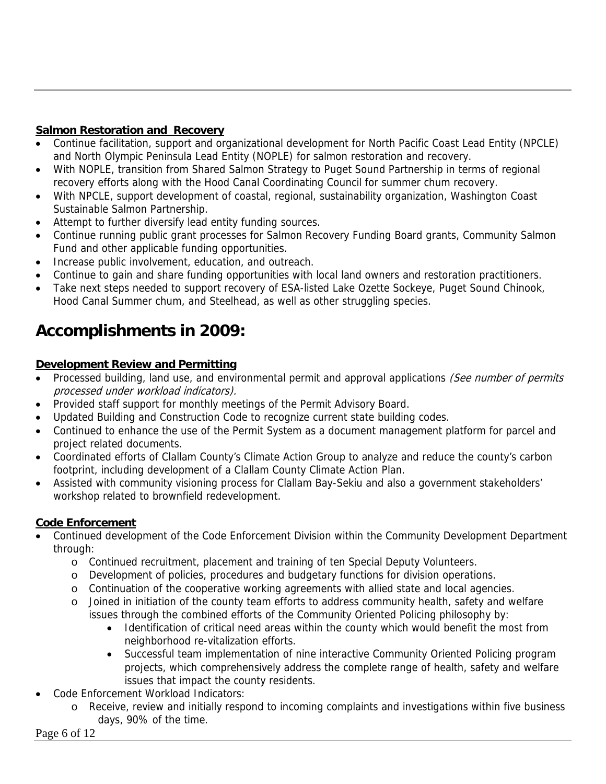## **Salmon Restoration and Recovery**

- Continue facilitation, support and organizational development for North Pacific Coast Lead Entity (NPCLE) and North Olympic Peninsula Lead Entity (NOPLE) for salmon restoration and recovery.
- With NOPLE, transition from Shared Salmon Strategy to Puget Sound Partnership in terms of regional recovery efforts along with the Hood Canal Coordinating Council for summer chum recovery.
- With NPCLE, support development of coastal, regional, sustainability organization, Washington Coast Sustainable Salmon Partnership.
- Attempt to further diversify lead entity funding sources.
- Continue running public grant processes for Salmon Recovery Funding Board grants, Community Salmon Fund and other applicable funding opportunities.
- Increase public involvement, education, and outreach.
- Continue to gain and share funding opportunities with local land owners and restoration practitioners.
- Take next steps needed to support recovery of ESA-listed Lake Ozette Sockeye, Puget Sound Chinook, Hood Canal Summer chum, and Steelhead, as well as other struggling species.

# **Accomplishments in 2009:**

## **Development Review and Permitting**

- Processed building, land use, and environmental permit and approval applications (See number of permits processed under workload indicators).
- Provided staff support for monthly meetings of the Permit Advisory Board.
- Updated Building and Construction Code to recognize current state building codes.
- Continued to enhance the use of the Permit System as a document management platform for parcel and project related documents.
- Coordinated efforts of Clallam County's Climate Action Group to analyze and reduce the county's carbon footprint, including development of a Clallam County Climate Action Plan.
- Assisted with community visioning process for Clallam Bay-Sekiu and also a government stakeholders' workshop related to brownfield redevelopment.

## **Code Enforcement**

- Continued development of the Code Enforcement Division within the Community Development Department through:
	- o Continued recruitment, placement and training of ten Special Deputy Volunteers.
	- o Development of policies, procedures and budgetary functions for division operations.
	- o Continuation of the cooperative working agreements with allied state and local agencies.
	- o Joined in initiation of the county team efforts to address community health, safety and welfare issues through the combined efforts of the Community Oriented Policing philosophy by:
		- Identification of critical need areas within the county which would benefit the most from neighborhood re-vitalization efforts.
		- Successful team implementation of nine interactive Community Oriented Policing program projects, which comprehensively address the complete range of health, safety and welfare issues that impact the county residents.
- Code Enforcement Workload Indicators:
	- o Receive, review and initially respond to incoming complaints and investigations within five business days, 90% of the time.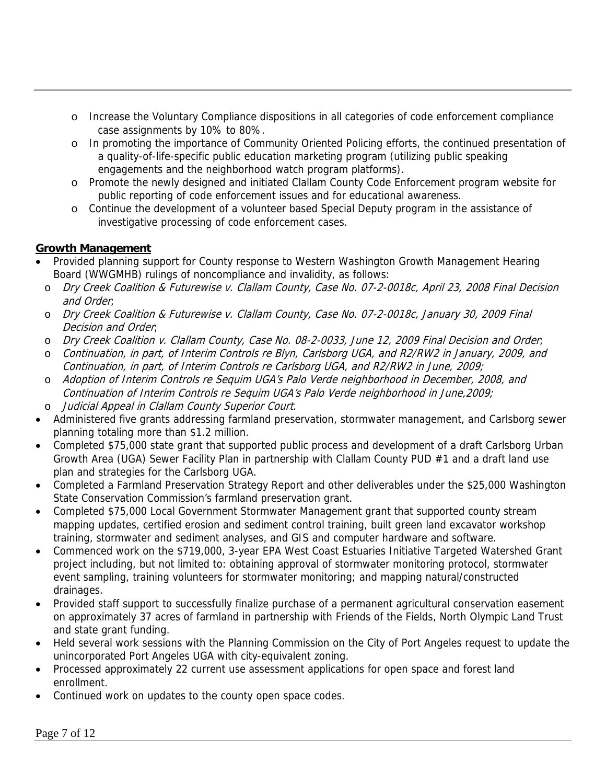- o Increase the Voluntary Compliance dispositions in all categories of code enforcement compliance case assignments by 10% to 80%.
- o In promoting the importance of Community Oriented Policing efforts, the continued presentation of a quality-of-life-specific public education marketing program (utilizing public speaking engagements and the neighborhood watch program platforms).
- o Promote the newly designed and initiated Clallam County Code Enforcement program website for public reporting of code enforcement issues and for educational awareness.
- o Continue the development of a volunteer based Special Deputy program in the assistance of investigative processing of code enforcement cases.

## **Growth Management**

- Provided planning support for County response to Western Washington Growth Management Hearing Board (WWGMHB) rulings of noncompliance and invalidity, as follows:
	- o Dry Creek Coalition & Futurewise v. Clallam County, Case No. 07-2-0018c, April 23, 2008 Final Decision and Order;
	- o Dry Creek Coalition & Futurewise v. Clallam County, Case No. 07-2-0018c, January 30, 2009 Final Decision and Order;
	- o Dry Creek Coalition v. Clallam County, Case No. 08-2-0033, June 12, 2009 Final Decision and Order;
	- o Continuation, in part, of Interim Controls re Blyn, Carlsborg UGA, and R2/RW2 in January, 2009, and Continuation, in part, of Interim Controls re Carlsborg UGA, and R2/RW2 in June, 2009;
	- o Adoption of Interim Controls re Sequim UGA's Palo Verde neighborhood in December, 2008, and Continuation of Interim Controls re Sequim UGA's Palo Verde neighborhood in June,2009;
- o Judicial Appeal in Clallam County Superior Court.
- Administered five grants addressing farmland preservation, stormwater management, and Carlsborg sewer planning totaling more than \$1.2 million.
- Completed \$75,000 state grant that supported public process and development of a draft Carlsborg Urban Growth Area (UGA) Sewer Facility Plan in partnership with Clallam County PUD #1 and a draft land use plan and strategies for the Carlsborg UGA.
- Completed a Farmland Preservation Strategy Report and other deliverables under the \$25,000 Washington State Conservation Commission's farmland preservation grant.
- Completed \$75,000 Local Government Stormwater Management grant that supported county stream mapping updates, certified erosion and sediment control training, built green land excavator workshop training, stormwater and sediment analyses, and GIS and computer hardware and software.
- Commenced work on the \$719,000, 3-year EPA West Coast Estuaries Initiative Targeted Watershed Grant project including, but not limited to: obtaining approval of stormwater monitoring protocol, stormwater event sampling, training volunteers for stormwater monitoring; and mapping natural/constructed drainages.
- Provided staff support to successfully finalize purchase of a permanent agricultural conservation easement on approximately 37 acres of farmland in partnership with Friends of the Fields, North Olympic Land Trust and state grant funding.
- Held several work sessions with the Planning Commission on the City of Port Angeles request to update the unincorporated Port Angeles UGA with city-equivalent zoning.
- Processed approximately 22 current use assessment applications for open space and forest land enrollment.
- Continued work on updates to the county open space codes.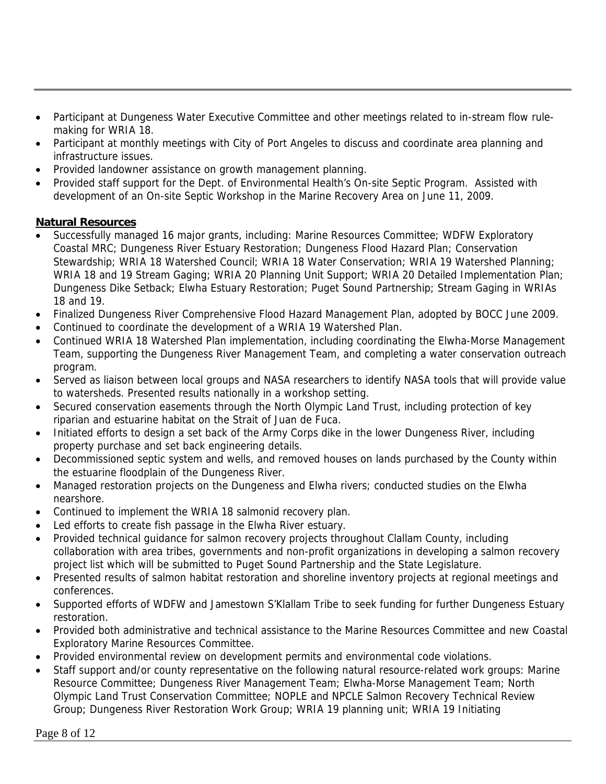- Participant at Dungeness Water Executive Committee and other meetings related to in-stream flow rulemaking for WRIA 18.
- Participant at monthly meetings with City of Port Angeles to discuss and coordinate area planning and infrastructure issues.
- Provided landowner assistance on growth management planning.
- Provided staff support for the Dept. of Environmental Health's On-site Septic Program. Assisted with development of an On-site Septic Workshop in the Marine Recovery Area on June 11, 2009.

## **Natural Resources**

- Successfully managed 16 major grants, including: Marine Resources Committee; WDFW Exploratory Coastal MRC; Dungeness River Estuary Restoration; Dungeness Flood Hazard Plan; Conservation Stewardship; WRIA 18 Watershed Council; WRIA 18 Water Conservation; WRIA 19 Watershed Planning; WRIA 18 and 19 Stream Gaging; WRIA 20 Planning Unit Support; WRIA 20 Detailed Implementation Plan; Dungeness Dike Setback; Elwha Estuary Restoration; Puget Sound Partnership; Stream Gaging in WRIAs 18 and 19.
- Finalized Dungeness River Comprehensive Flood Hazard Management Plan, adopted by BOCC June 2009.
- Continued to coordinate the development of a WRIA 19 Watershed Plan.
- Continued WRIA 18 Watershed Plan implementation, including coordinating the Elwha-Morse Management Team, supporting the Dungeness River Management Team, and completing a water conservation outreach program.
- Served as liaison between local groups and NASA researchers to identify NASA tools that will provide value to watersheds. Presented results nationally in a workshop setting.
- Secured conservation easements through the North Olympic Land Trust, including protection of key riparian and estuarine habitat on the Strait of Juan de Fuca.
- Initiated efforts to design a set back of the Army Corps dike in the lower Dungeness River, including property purchase and set back engineering details.
- Decommissioned septic system and wells, and removed houses on lands purchased by the County within the estuarine floodplain of the Dungeness River.
- Managed restoration projects on the Dungeness and Elwha rivers; conducted studies on the Elwha nearshore.
- Continued to implement the WRIA 18 salmonid recovery plan.
- Led efforts to create fish passage in the Elwha River estuary.
- Provided technical guidance for salmon recovery projects throughout Clallam County, including collaboration with area tribes, governments and non-profit organizations in developing a salmon recovery project list which will be submitted to Puget Sound Partnership and the State Legislature.
- Presented results of salmon habitat restoration and shoreline inventory projects at regional meetings and conferences.
- Supported efforts of WDFW and Jamestown S'Klallam Tribe to seek funding for further Dungeness Estuary restoration.
- Provided both administrative and technical assistance to the Marine Resources Committee and new Coastal Exploratory Marine Resources Committee.
- Provided environmental review on development permits and environmental code violations.
- Staff support and/or county representative on the following natural resource-related work groups: Marine Resource Committee; Dungeness River Management Team; Elwha-Morse Management Team; North Olympic Land Trust Conservation Committee; NOPLE and NPCLE Salmon Recovery Technical Review Group; Dungeness River Restoration Work Group; WRIA 19 planning unit; WRIA 19 Initiating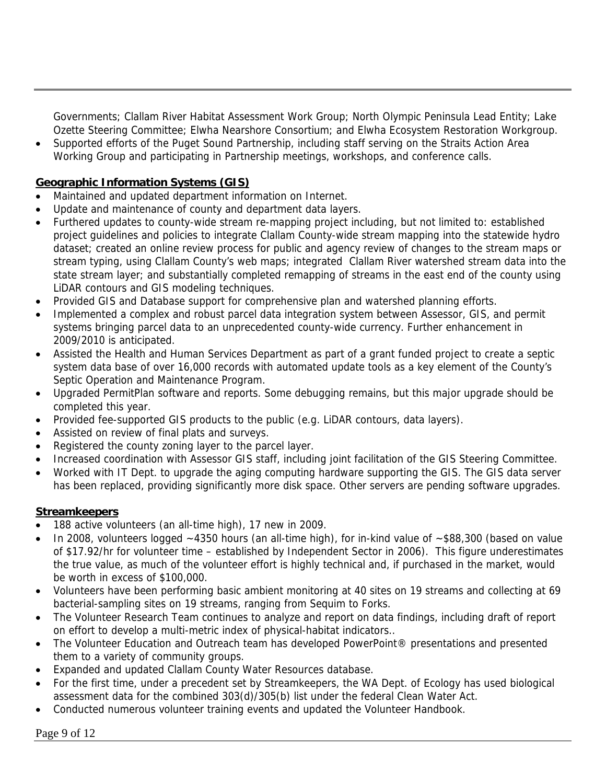Governments; Clallam River Habitat Assessment Work Group; North Olympic Peninsula Lead Entity; Lake Ozette Steering Committee; Elwha Nearshore Consortium; and Elwha Ecosystem Restoration Workgroup.

• Supported efforts of the Puget Sound Partnership, including staff serving on the Straits Action Area Working Group and participating in Partnership meetings, workshops, and conference calls.

## **Geographic Information Systems (GIS)**

- Maintained and updated department information on Internet.
- Update and maintenance of county and department data layers.
- Furthered updates to county-wide stream re-mapping project including, but not limited to: established project guidelines and policies to integrate Clallam County-wide stream mapping into the statewide hydro dataset; created an online review process for public and agency review of changes to the stream maps or stream typing, using Clallam County's web maps; integrated Clallam River watershed stream data into the state stream layer; and substantially completed remapping of streams in the east end of the county using LiDAR contours and GIS modeling techniques.
- Provided GIS and Database support for comprehensive plan and watershed planning efforts.
- Implemented a complex and robust parcel data integration system between Assessor, GIS, and permit systems bringing parcel data to an unprecedented county-wide currency. Further enhancement in 2009/2010 is anticipated.
- Assisted the Health and Human Services Department as part of a grant funded project to create a septic system data base of over 16,000 records with automated update tools as a key element of the County's Septic Operation and Maintenance Program.
- Upgraded PermitPlan software and reports. Some debugging remains, but this major upgrade should be completed this year.
- Provided fee-supported GIS products to the public (e.g. LiDAR contours, data layers).
- Assisted on review of final plats and surveys.
- Registered the county zoning layer to the parcel layer.
- Increased coordination with Assessor GIS staff, including joint facilitation of the GIS Steering Committee.
- Worked with IT Dept. to upgrade the aging computing hardware supporting the GIS. The GIS data server has been replaced, providing significantly more disk space. Other servers are pending software upgrades.

## **Streamkeepers**

- 188 active volunteers (an all-time high), 17 new in 2009.
- In 2008, volunteers logged ~4350 hours (an all-time high), for in-kind value of ~\$88,300 (based on value of \$17.92/hr for volunteer time – established by Independent Sector in 2006). This figure underestimates the true value, as much of the volunteer effort is highly technical and, if purchased in the market, would be worth in excess of \$100,000.
- Volunteers have been performing basic ambient monitoring at 40 sites on 19 streams and collecting at 69 bacterial-sampling sites on 19 streams, ranging from Sequim to Forks.
- The Volunteer Research Team continues to analyze and report on data findings, including draft of report on effort to develop a multi-metric index of physical-habitat indicators..
- The Volunteer Education and Outreach team has developed PowerPoint® presentations and presented them to a variety of community groups.
- Expanded and updated Clallam County Water Resources database.
- For the first time, under a precedent set by Streamkeepers, the WA Dept. of Ecology has used biological assessment data for the combined 303(d)/305(b) list under the federal Clean Water Act.
- Conducted numerous volunteer training events and updated the Volunteer Handbook.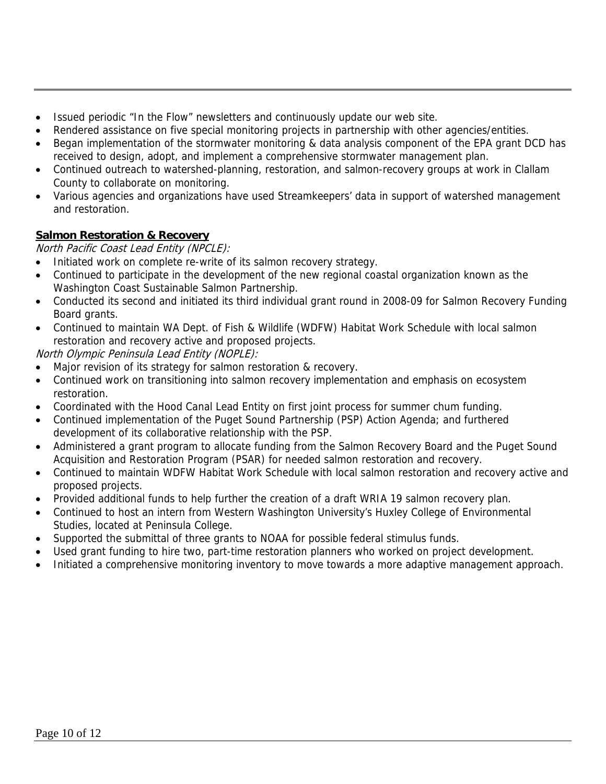- Issued periodic "In the Flow" newsletters and continuously update our web site.
- Rendered assistance on five special monitoring projects in partnership with other agencies/entities.
- Began implementation of the stormwater monitoring & data analysis component of the EPA grant DCD has received to design, adopt, and implement a comprehensive stormwater management plan.
- Continued outreach to watershed-planning, restoration, and salmon-recovery groups at work in Clallam County to collaborate on monitoring.
- Various agencies and organizations have used Streamkeepers' data in support of watershed management and restoration.

## **Salmon Restoration & Recovery**

North Pacific Coast Lead Entity (NPCLE):

- Initiated work on complete re-write of its salmon recovery strategy.
- Continued to participate in the development of the new regional coastal organization known as the Washington Coast Sustainable Salmon Partnership.
- Conducted its second and initiated its third individual grant round in 2008-09 for Salmon Recovery Funding Board grants.
- Continued to maintain WA Dept. of Fish & Wildlife (WDFW) Habitat Work Schedule with local salmon restoration and recovery active and proposed projects.

North Olympic Peninsula Lead Entity (NOPLE):

- Major revision of its strategy for salmon restoration & recovery.
- Continued work on transitioning into salmon recovery implementation and emphasis on ecosystem restoration.
- Coordinated with the Hood Canal Lead Entity on first joint process for summer chum funding.
- Continued implementation of the Puget Sound Partnership (PSP) Action Agenda; and furthered development of its collaborative relationship with the PSP.
- Administered a grant program to allocate funding from the Salmon Recovery Board and the Puget Sound Acquisition and Restoration Program (PSAR) for needed salmon restoration and recovery.
- Continued to maintain WDFW Habitat Work Schedule with local salmon restoration and recovery active and proposed projects.
- Provided additional funds to help further the creation of a draft WRIA 19 salmon recovery plan.
- Continued to host an intern from Western Washington University's Huxley College of Environmental Studies, located at Peninsula College.
- Supported the submittal of three grants to NOAA for possible federal stimulus funds.
- Used grant funding to hire two, part-time restoration planners who worked on project development.
- Initiated a comprehensive monitoring inventory to move towards a more adaptive management approach.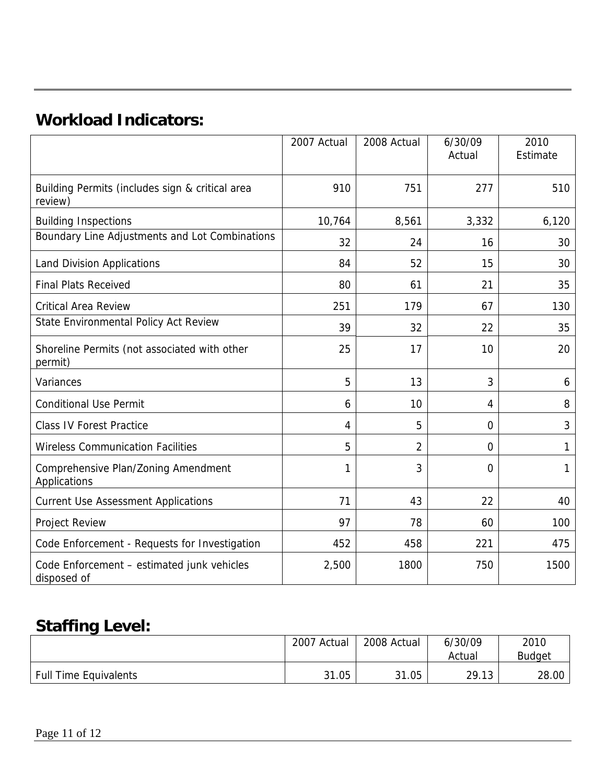# **Workload Indicators:**

|                                                            | 2007 Actual | 2008 Actual    | 6/30/09<br>Actual | 2010<br>Estimate |
|------------------------------------------------------------|-------------|----------------|-------------------|------------------|
| Building Permits (includes sign & critical area<br>review) | 910         | 751            | 277               | 510              |
| <b>Building Inspections</b>                                | 10,764      | 8,561          | 3,332             | 6,120            |
| Boundary Line Adjustments and Lot Combinations             | 32          | 24             | 16                | 30               |
| <b>Land Division Applications</b>                          | 84          | 52             | 15                | 30               |
| <b>Final Plats Received</b>                                | 80          | 61             | 21                | 35               |
| <b>Critical Area Review</b>                                | 251         | 179            | 67                | 130              |
| State Environmental Policy Act Review                      | 39          | 32             | 22                | 35               |
| Shoreline Permits (not associated with other<br>permit)    | 25          | 17             | 10                | 20               |
| Variances                                                  | 5           | 13             | 3                 | 6                |
| <b>Conditional Use Permit</b>                              | 6           | 10             | 4                 | 8                |
| <b>Class IV Forest Practice</b>                            | 4           | 5              | $\mathbf 0$       | 3                |
| <b>Wireless Communication Facilities</b>                   | 5           | $\overline{2}$ | $\mathbf 0$       | 1                |
| Comprehensive Plan/Zoning Amendment<br>Applications        | 1           | 3              | 0                 | 1                |
| <b>Current Use Assessment Applications</b>                 | 71          | 43             | 22                | 40               |
| <b>Project Review</b>                                      | 97          | 78             | 60                | 100              |
| Code Enforcement - Requests for Investigation              | 452         | 458            | 221               | 475              |
| Code Enforcement - estimated junk vehicles<br>disposed of  | 2,500       | 1800           | 750               | 1500             |

# **Staffing Level:**

|                              | 2007<br>Actual | 2008 Actual | 6/30/09<br>Actual | 2010<br><b>Budget</b> |
|------------------------------|----------------|-------------|-------------------|-----------------------|
| <b>Full Time Equivalents</b> | 31.05          | 31.05       | 29.13             | 28.00                 |